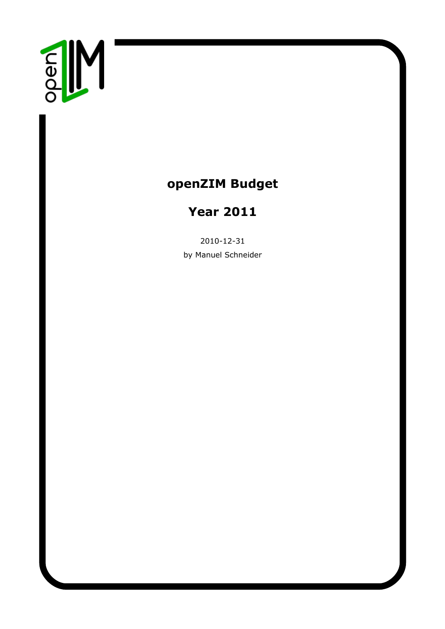

## **openZIM Budget**

# **Year 2011**

2010-12-31 by Manuel Schneider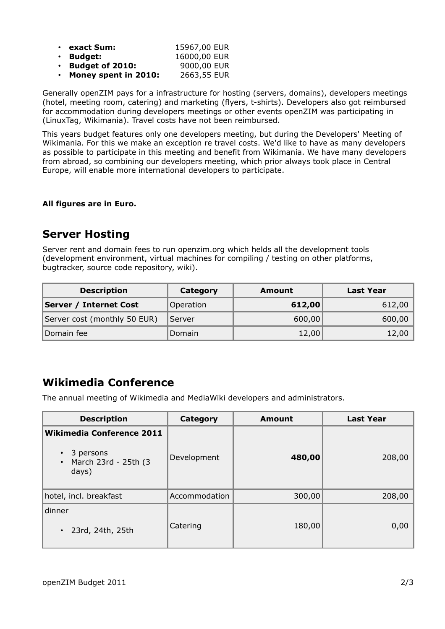| • exact Sum:                 | 15967,00 EUR |
|------------------------------|--------------|
| $\cdot$ Budget:              | 16000,00 EUR |
| $\cdot$ Budget of 2010:      | 9000,00 EUR  |
| $\cdot$ Money spent in 2010: | 2663,55 EUR  |

Generally openZIM pays for a infrastructure for hosting (servers, domains), developers meetings (hotel, meeting room, catering) and marketing (flyers, t-shirts). Developers also got reimbursed for accommodation during developers meetings or other events openZIM was participating in (LinuxTag, Wikimania). Travel costs have not been reimbursed.

This years budget features only one developers meeting, but during the Developers' Meeting of Wikimania. For this we make an exception re travel costs. We'd like to have as many developers as possible to participate in this meeting and benefit from Wikimania. We have many developers from abroad, so combining our developers meeting, which prior always took place in Central Europe, will enable more international developers to participate.

#### **All figures are in Euro.**

#### **Server Hosting**

Server rent and domain fees to run openzim.org which helds all the development tools (development environment, virtual machines for compiling / testing on other platforms, bugtracker, source code repository, wiki).

| <b>Description</b>            | Category  | Amount | Last Year |
|-------------------------------|-----------|--------|-----------|
| <b>Server / Internet Cost</b> | Operation | 612,00 | 612,00    |
| Server cost (monthly 50 EUR)  | Server    | 600,00 | 600,00    |
| Domain fee                    | Domain    | 12,00  | 12,00     |

#### **Wikimedia Conference**

The annual meeting of Wikimedia and MediaWiki developers and administrators.

| <b>Description</b>                                                                          | Category      | <b>Amount</b> | <b>Last Year</b> |
|---------------------------------------------------------------------------------------------|---------------|---------------|------------------|
| <b>Wikimedia Conference 2011</b><br>3 persons<br>March 23rd - 25th (3<br>$\bullet$<br>days) | Development   | 480,00        | 208,00           |
| hotel, incl. breakfast                                                                      | Accommodation | 300,00        | 208,00           |
| dinner<br>23rd, 24th, 25th                                                                  | Catering      | 180,00        | 0,00             |